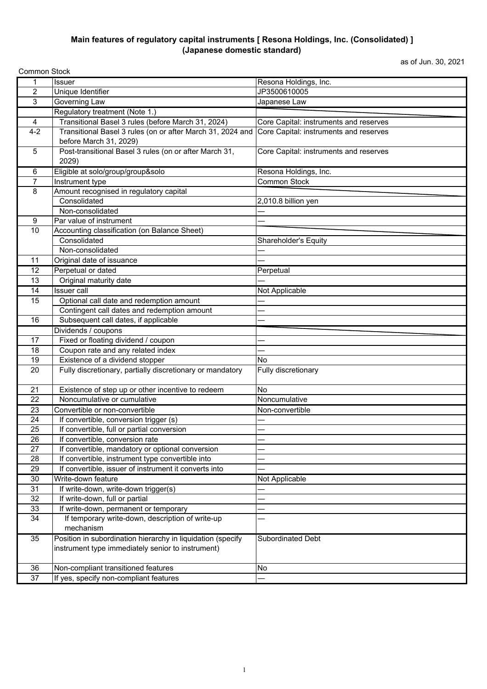## **Main features of regulatory capital instruments [ Resona Holdings, Inc. (Consolidated) ] (Japanese domestic standard)**

as of Jun. 30, 2021

| <b>Common Stock</b>     |                                                             |                                        |  |
|-------------------------|-------------------------------------------------------------|----------------------------------------|--|
| 1                       | <b>Issuer</b>                                               | Resona Holdings, Inc.                  |  |
| $\overline{\mathbf{c}}$ | Unique Identifier                                           | JP3500610005                           |  |
| 3                       | Governing Law                                               | Japanese Law                           |  |
|                         | Regulatory treatment (Note 1.)                              |                                        |  |
| 4                       | Transitional Basel 3 rules (before March 31, 2024)          | Core Capital: instruments and reserves |  |
| $4 - 2$                 | Transitional Basel 3 rules (on or after March 31, 2024 and  | Core Capital: instruments and reserves |  |
|                         | before March 31, 2029)                                      |                                        |  |
| $\sqrt{5}$              | Post-transitional Basel 3 rules (on or after March 31,      | Core Capital: instruments and reserves |  |
|                         | 2029)                                                       |                                        |  |
| 6                       | Eligible at solo/group/group&solo                           | Resona Holdings, Inc.                  |  |
| 7                       | Instrument type                                             | <b>Common Stock</b>                    |  |
| 8                       | Amount recognised in regulatory capital                     |                                        |  |
|                         | Consolidated                                                | 2,010.8 billion yen                    |  |
|                         | Non-consolidated                                            |                                        |  |
| 9                       | Par value of instrument                                     |                                        |  |
| 10                      | Accounting classification (on Balance Sheet)                |                                        |  |
|                         | Consolidated                                                | Shareholder's Equity                   |  |
|                         | Non-consolidated                                            |                                        |  |
| 11                      | Original date of issuance                                   |                                        |  |
| 12                      | Perpetual or dated                                          | Perpetual                              |  |
| 13                      | Original maturity date                                      |                                        |  |
| 14                      | <b>Issuer call</b>                                          | <b>Not Applicable</b>                  |  |
| 15                      | Optional call date and redemption amount                    |                                        |  |
|                         | Contingent call dates and redemption amount                 |                                        |  |
| 16                      | Subsequent call dates, if applicable                        |                                        |  |
|                         | Dividends / coupons                                         |                                        |  |
| 17                      | Fixed or floating dividend / coupon                         |                                        |  |
| 18                      | Coupon rate and any related index                           |                                        |  |
| 19                      | Existence of a dividend stopper                             | <b>No</b>                              |  |
| 20                      | Fully discretionary, partially discretionary or mandatory   | Fully discretionary                    |  |
|                         |                                                             |                                        |  |
| 21                      | Existence of step up or other incentive to redeem           | <b>No</b>                              |  |
| 22                      | Noncumulative or cumulative                                 | Noncumulative                          |  |
| 23                      | Convertible or non-convertible                              | Non-convertible                        |  |
| 24                      | If convertible, conversion trigger (s)                      |                                        |  |
| 25                      | If convertible, full or partial conversion                  |                                        |  |
| 26                      | If convertible, conversion rate                             |                                        |  |
| 27                      | If convertible, mandatory or optional conversion            |                                        |  |
| 28                      | If convertible, instrument type convertible into            |                                        |  |
| 29                      | If convertible, issuer of instrument it converts into       |                                        |  |
| 30                      | Write-down feature                                          | Not Applicable                         |  |
| 31                      | If write-down, write-down trigger(s)                        |                                        |  |
| 32                      | If write-down, full or partial                              |                                        |  |
| 33                      | If write-down, permanent or temporary                       |                                        |  |
| 34                      | If temporary write-down, description of write-up            |                                        |  |
|                         | mechanism                                                   |                                        |  |
| 35                      | Position in subordination hierarchy in liquidation (specify | Subordinated Debt                      |  |
|                         | instrument type immediately senior to instrument)           |                                        |  |
|                         |                                                             |                                        |  |
| 36                      | Non-compliant transitioned features                         | No                                     |  |
| 37                      | If yes, specify non-compliant features                      |                                        |  |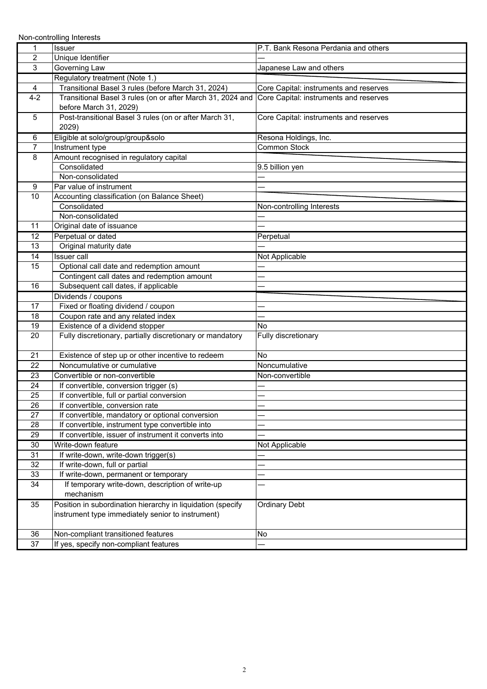Non-controlling Interests

| 1              | Issuer                                                                               | P.T. Bank Resona Perdania and others   |
|----------------|--------------------------------------------------------------------------------------|----------------------------------------|
| $\overline{2}$ | Unique Identifier                                                                    |                                        |
| 3              | Governing Law                                                                        | Japanese Law and others                |
|                | Regulatory treatment (Note 1.)                                                       |                                        |
| 4              | Transitional Basel 3 rules (before March 31, 2024)                                   | Core Capital: instruments and reserves |
| $4 - 2$        | Transitional Basel 3 rules (on or after March 31, 2024 and<br>before March 31, 2029) | Core Capital: instruments and reserves |
| 5              | Post-transitional Basel 3 rules (on or after March 31,                               | Core Capital: instruments and reserves |
|                | 2029)                                                                                |                                        |
| 6              | Eligible at solo/group/group&solo                                                    | Resona Holdings, Inc.                  |
| $\overline{7}$ | Instrument type                                                                      | Common Stock                           |
| 8              | Amount recognised in regulatory capital                                              |                                        |
|                | Consolidated                                                                         | 9.5 billion yen                        |
|                | Non-consolidated                                                                     |                                        |
| 9              | Par value of instrument                                                              |                                        |
| 10             | Accounting classification (on Balance Sheet)                                         |                                        |
|                | Consolidated                                                                         | Non-controlling Interests              |
|                | Non-consolidated                                                                     |                                        |
| 11             | Original date of issuance                                                            |                                        |
| 12             | Perpetual or dated                                                                   | Perpetual                              |
| 13             | Original maturity date                                                               |                                        |
| 14             | <b>Issuer</b> call                                                                   | Not Applicable                         |
| 15             | Optional call date and redemption amount                                             |                                        |
|                | Contingent call dates and redemption amount                                          |                                        |
| 16             | Subsequent call dates, if applicable                                                 |                                        |
|                | Dividends / coupons                                                                  |                                        |
| 17             | Fixed or floating dividend / coupon                                                  |                                        |
| 18             | Coupon rate and any related index                                                    |                                        |
| 19<br>20       | Existence of a dividend stopper                                                      | No                                     |
|                | Fully discretionary, partially discretionary or mandatory                            | Fully discretionary                    |
| 21             | Existence of step up or other incentive to redeem                                    | <b>No</b>                              |
| 22             | Noncumulative or cumulative                                                          | Noncumulative                          |
| 23             | Convertible or non-convertible                                                       | Non-convertible                        |
| 24             | If convertible, conversion trigger (s)                                               |                                        |
| 25             | If convertible, full or partial conversion                                           |                                        |
| 26             | If convertible, conversion rate                                                      |                                        |
| 27             | If convertible, mandatory or optional conversion                                     |                                        |
| 28             | If convertible, instrument type convertible into                                     |                                        |
| 29             | If convertible, issuer of instrument it converts into                                |                                        |
| 30             | Write-down feature                                                                   | Not Applicable                         |
| 31             | If write-down, write-down trigger(s)                                                 |                                        |
| 32             | If write-down, full or partial                                                       |                                        |
| 33             | If write-down, permanent or temporary                                                |                                        |
| 34             | If temporary write-down, description of write-up<br>mechanism                        |                                        |
| 35             | Position in subordination hierarchy in liquidation (specify                          | <b>Ordinary Debt</b>                   |
|                | instrument type immediately senior to instrument)                                    |                                        |
|                |                                                                                      |                                        |
| 36             | Non-compliant transitioned features                                                  | <b>No</b>                              |
| 37             | If yes, specify non-compliant features                                               |                                        |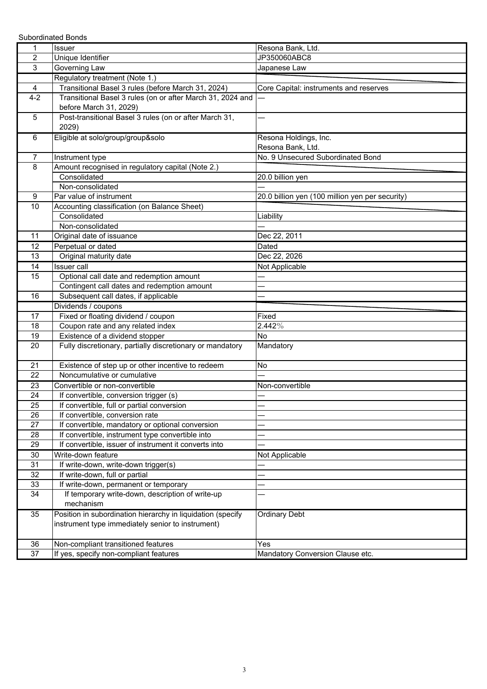Subordinated Bonds

| 1              | Issuer                                                                               | Resona Bank, Ltd.                               |
|----------------|--------------------------------------------------------------------------------------|-------------------------------------------------|
| $\overline{c}$ | Unique Identifier                                                                    | JP350060ABC8                                    |
| 3              | Governing Law                                                                        | Japanese Law                                    |
|                | Regulatory treatment (Note 1.)                                                       |                                                 |
| 4              | Transitional Basel 3 rules (before March 31, 2024)                                   | Core Capital: instruments and reserves          |
| $4 - 2$        | Transitional Basel 3 rules (on or after March 31, 2024 and<br>before March 31, 2029) |                                                 |
| 5              | Post-transitional Basel 3 rules (on or after March 31,<br>2029)                      |                                                 |
| 6              | Eligible at solo/group/group&solo                                                    | Resona Holdings, Inc.<br>Resona Bank, Ltd.      |
|                |                                                                                      |                                                 |
| $\overline{7}$ | Instrument type                                                                      | No. 9 Unsecured Subordinated Bond               |
| 8              | Amount recognised in regulatory capital (Note 2.)                                    |                                                 |
|                | Consolidated                                                                         | 20.0 billion yen                                |
|                | Non-consolidated                                                                     |                                                 |
| 9              | Par value of instrument                                                              | 20.0 billion yen (100 million yen per security) |
| 10             | Accounting classification (on Balance Sheet)                                         |                                                 |
|                | Consolidated                                                                         | Liability                                       |
|                | Non-consolidated                                                                     |                                                 |
| 11             | Original date of issuance                                                            | Dec 22, 2011                                    |
| 12             | Perpetual or dated                                                                   | Dated                                           |
| 13             | Original maturity date                                                               | Dec 22, 2026                                    |
| 14             | <b>Issuer call</b>                                                                   | Not Applicable                                  |
| 15             | Optional call date and redemption amount                                             |                                                 |
|                | Contingent call dates and redemption amount                                          |                                                 |
| 16             | Subsequent call dates, if applicable                                                 |                                                 |
|                | Dividends / coupons                                                                  |                                                 |
| 17             | Fixed or floating dividend / coupon                                                  | Fixed                                           |
| 18             | Coupon rate and any related index                                                    | $2.442\%$                                       |
| 19             | Existence of a dividend stopper                                                      | No                                              |
| 20             | Fully discretionary, partially discretionary or mandatory                            | Mandatory                                       |
| 21             | Existence of step up or other incentive to redeem                                    | No                                              |
| 22             | Noncumulative or cumulative                                                          |                                                 |
| 23             | Convertible or non-convertible                                                       | Non-convertible                                 |
| 24             | If convertible, conversion trigger (s)                                               |                                                 |
| 25             | If convertible, full or partial conversion                                           |                                                 |
| 26             | If convertible, conversion rate                                                      |                                                 |
| 27             | If convertible, mandatory or optional conversion                                     |                                                 |
| 28             | If convertible, instrument type convertible into                                     |                                                 |
| 29             | If convertible, issuer of instrument it converts into                                |                                                 |
| 30             | Write-down feature                                                                   | Not Applicable                                  |
| 31             | If write-down, write-down trigger(s)                                                 |                                                 |
| 32             | If write-down, full or partial                                                       |                                                 |
| 33             | If write-down, permanent or temporary                                                |                                                 |
| 34             | If temporary write-down, description of write-up                                     |                                                 |
|                | mechanism                                                                            |                                                 |
| 35             | Position in subordination hierarchy in liquidation (specify                          | <b>Ordinary Debt</b>                            |
|                | instrument type immediately senior to instrument)                                    |                                                 |
| 36             | Non-compliant transitioned features                                                  | Yes                                             |
| 37             | If yes, specify non-compliant features                                               | Mandatory Conversion Clause etc.                |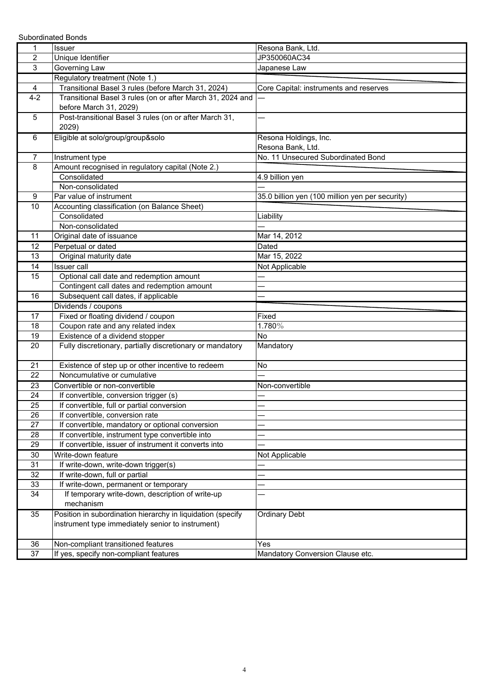Subordinated Bonds

| 1              | <b>Issuer</b>                                                                    | Resona Bank, Ltd.                               |
|----------------|----------------------------------------------------------------------------------|-------------------------------------------------|
| $\overline{c}$ | Unique Identifier                                                                | JP350060AC34                                    |
| 3              | Governing Law                                                                    | Japanese Law                                    |
|                | Regulatory treatment (Note 1.)                                                   |                                                 |
| 4              | Transitional Basel 3 rules (before March 31, 2024)                               | Core Capital: instruments and reserves          |
| $4 - 2$        | Transitional Basel 3 rules (on or after March 31, 2024 and                       |                                                 |
|                | before March 31, 2029)                                                           |                                                 |
| 5              | Post-transitional Basel 3 rules (on or after March 31,                           |                                                 |
|                | 2029)                                                                            |                                                 |
| 6              | Eligible at solo/group/group&solo                                                | Resona Holdings, Inc.                           |
|                |                                                                                  | Resona Bank, Ltd.                               |
| $\overline{7}$ | Instrument type                                                                  | No. 11 Unsecured Subordinated Bond              |
| 8              | Amount recognised in regulatory capital (Note 2.)                                |                                                 |
|                | Consolidated                                                                     | 4.9 billion yen                                 |
|                | Non-consolidated                                                                 |                                                 |
| 9              | Par value of instrument                                                          | 35.0 billion yen (100 million yen per security) |
| 10             | Accounting classification (on Balance Sheet)                                     |                                                 |
|                | Consolidated                                                                     | Liability                                       |
|                | Non-consolidated                                                                 |                                                 |
| 11             | Original date of issuance                                                        | Mar 14, 2012                                    |
| 12             | Perpetual or dated                                                               | Dated                                           |
| 13             | Original maturity date                                                           | Mar 15, 2022                                    |
| 14             | <b>Issuer</b> call                                                               | Not Applicable                                  |
| 15             | Optional call date and redemption amount                                         |                                                 |
|                | Contingent call dates and redemption amount                                      |                                                 |
| 16             | Subsequent call dates, if applicable                                             |                                                 |
|                | Dividends / coupons                                                              |                                                 |
| 17             | Fixed or floating dividend / coupon                                              | Fixed                                           |
| 18             | Coupon rate and any related index                                                | 1.780%                                          |
| 19             | Existence of a dividend stopper                                                  | <b>No</b>                                       |
| 20             | Fully discretionary, partially discretionary or mandatory                        | Mandatory                                       |
|                |                                                                                  |                                                 |
| 21<br>22       | Existence of step up or other incentive to redeem<br>Noncumulative or cumulative | No                                              |
|                |                                                                                  |                                                 |
| 23<br>24       | Convertible or non-convertible<br>If convertible, conversion trigger (s)         | Non-convertible                                 |
| 25             | If convertible, full or partial conversion                                       |                                                 |
| 26             | If convertible, conversion rate                                                  |                                                 |
| 27             | If convertible, mandatory or optional conversion                                 |                                                 |
| 28             | If convertible, instrument type convertible into                                 |                                                 |
| 29             | If convertible, issuer of instrument it converts into                            |                                                 |
| 30             | Write-down feature                                                               | Not Applicable                                  |
| 31             | If write-down, write-down trigger(s)                                             |                                                 |
| 32             | If write-down, full or partial                                                   |                                                 |
| 33             | If write-down, permanent or temporary                                            |                                                 |
| 34             | If temporary write-down, description of write-up                                 |                                                 |
|                | mechanism                                                                        |                                                 |
| 35             | Position in subordination hierarchy in liquidation (specify                      | <b>Ordinary Debt</b>                            |
|                | instrument type immediately senior to instrument)                                |                                                 |
|                |                                                                                  |                                                 |
| 36             | Non-compliant transitioned features                                              | Yes                                             |
| 37             | If yes, specify non-compliant features                                           | Mandatory Conversion Clause etc.                |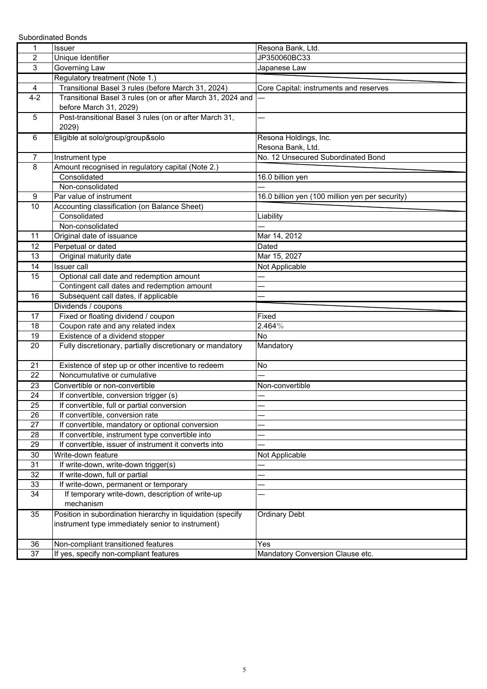Subordinated Bonds

| 1               | <b>Issuer</b>                                               | Resona Bank, Ltd.                               |
|-----------------|-------------------------------------------------------------|-------------------------------------------------|
| $\overline{2}$  | Unique Identifier                                           | JP350060BC33                                    |
| 3               | Governing Law                                               | Japanese Law                                    |
|                 | Regulatory treatment (Note 1.)                              |                                                 |
| 4               | Transitional Basel 3 rules (before March 31, 2024)          | Core Capital: instruments and reserves          |
| $4 - 2$         | Transitional Basel 3 rules (on or after March 31, 2024 and  |                                                 |
|                 | before March 31, 2029)                                      |                                                 |
| 5               | Post-transitional Basel 3 rules (on or after March 31,      |                                                 |
|                 | 2029)                                                       |                                                 |
| 6               | Eligible at solo/group/group&solo                           | Resona Holdings, Inc.                           |
|                 |                                                             | Resona Bank, Ltd.                               |
| $\overline{7}$  | Instrument type                                             | No. 12 Unsecured Subordinated Bond              |
| 8               | Amount recognised in regulatory capital (Note 2.)           |                                                 |
|                 | Consolidated                                                | 16.0 billion yen                                |
|                 | Non-consolidated                                            |                                                 |
| 9               | Par value of instrument                                     | 16.0 billion yen (100 million yen per security) |
| 10              | Accounting classification (on Balance Sheet)                |                                                 |
|                 | Consolidated                                                | Liability                                       |
|                 | Non-consolidated                                            |                                                 |
| 11              | Original date of issuance                                   | Mar 14, 2012                                    |
| $\overline{12}$ | Perpetual or dated                                          | Dated                                           |
| 13              | Original maturity date                                      | Mar 15, 2027                                    |
| 14              | <b>Issuer call</b>                                          | Not Applicable                                  |
| 15              | Optional call date and redemption amount                    |                                                 |
|                 | Contingent call dates and redemption amount                 |                                                 |
| 16              | Subsequent call dates, if applicable                        |                                                 |
|                 | Dividends / coupons                                         |                                                 |
| 17              | Fixed or floating dividend / coupon                         | Fixed                                           |
| 18              | Coupon rate and any related index                           | 2.464%                                          |
| 19<br>20        | Existence of a dividend stopper                             | <b>No</b>                                       |
|                 | Fully discretionary, partially discretionary or mandatory   | Mandatory                                       |
| 21              | Existence of step up or other incentive to redeem           | No                                              |
| 22              | Noncumulative or cumulative                                 |                                                 |
| 23              | Convertible or non-convertible                              | Non-convertible                                 |
| 24              | If convertible, conversion trigger (s)                      |                                                 |
| 25              | If convertible, full or partial conversion                  |                                                 |
| 26              | If convertible, conversion rate                             |                                                 |
| 27              | If convertible, mandatory or optional conversion            |                                                 |
| 28              | If convertible, instrument type convertible into            |                                                 |
| 29              | If convertible, issuer of instrument it converts into       |                                                 |
| 30              | Write-down feature                                          | Not Applicable                                  |
| 31              | If write-down, write-down trigger(s)                        |                                                 |
| 32              | If write-down, full or partial                              |                                                 |
| 33              | If write-down, permanent or temporary                       |                                                 |
| 34              | If temporary write-down, description of write-up            |                                                 |
|                 | mechanism                                                   |                                                 |
| 35              | Position in subordination hierarchy in liquidation (specify | <b>Ordinary Debt</b>                            |
|                 | instrument type immediately senior to instrument)           |                                                 |
|                 |                                                             |                                                 |
| 36              | Non-compliant transitioned features                         | Yes                                             |
| 37              | If yes, specify non-compliant features                      | Mandatory Conversion Clause etc.                |